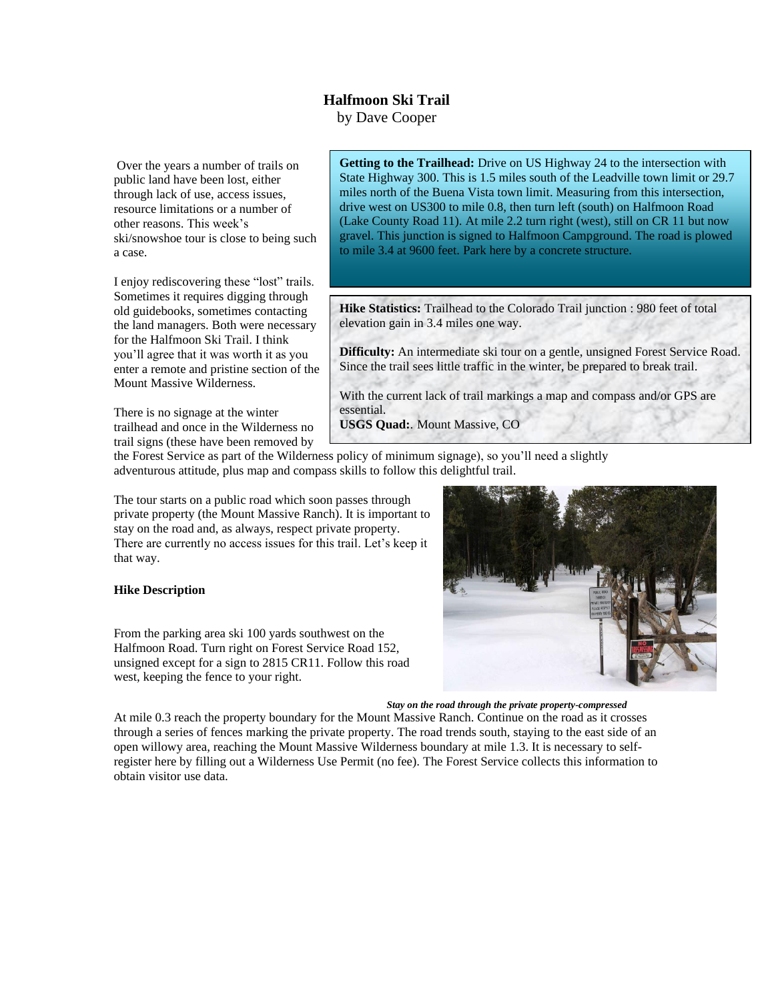## **Halfmoon Ski Trail**

by Dave Cooper

Over the years a number of trails on public land have been lost, either through lack of use, access issues, resource limitations or a number of other reasons. This week's ski/snowshoe tour is close to being such a case.

I enjoy rediscovering these "lost" trails. Sometimes it requires digging through old guidebooks, sometimes contacting the land managers. Both were necessary for the Halfmoon Ski Trail. I think you'll agree that it was worth it as you enter a remote and pristine section of the Mount Massive Wilderness.

There is no signage at the winter trailhead and once in the Wilderness no trail signs (these have been removed by

**Getting to the Trailhead:** Drive on US Highway 24 to the intersection with State Highway 300. This is 1.5 miles south of the Leadville town limit or 29.7 miles north of the Buena Vista town limit. Measuring from this intersection, drive west on US300 to mile 0.8, then turn left (south) on Halfmoon Road (Lake County Road 11). At mile 2.2 turn right (west), still on CR 11 but now gravel. This junction is signed to Halfmoon Campground. The road is plowed to mile 3.4 at 9600 feet. Park here by a concrete structure.

**Hike Statistics:** Trailhead to the Colorado Trail junction : 980 feet of total elevation gain in 3.4 miles one way.

**Difficulty:** An intermediate ski tour on a gentle, unsigned Forest Service Road. Since the trail sees little traffic in the winter, be prepared to break trail.

With the current lack of trail markings a map and compass and/or GPS are essential.

**USGS Quad:**. Mount Massive, CO

the Forest Service as part of the Wilderness policy of minimum signage), so you'll need a slightly adventurous attitude, plus map and compass skills to follow this delightful trail.

The tour starts on a public road which soon passes through private property (the Mount Massive Ranch). It is important to stay on the road and, as always, respect private property. There are currently no access issues for this trail. Let's keep it that way.

## **Hike Description**

From the parking area ski 100 yards southwest on the Halfmoon Road. Turn right on Forest Service Road 152, unsigned except for a sign to 2815 CR11. Follow this road west, keeping the fence to your right.



*Stay on the road through the private property-compressed*

At mile 0.3 reach the property boundary for the Mount Massive Ranch. Continue on the road as it crosses through a series of fences marking the private property. The road trends south, staying to the east side of an open willowy area, reaching the Mount Massive Wilderness boundary at mile 1.3. It is necessary to selfregister here by filling out a Wilderness Use Permit (no fee). The Forest Service collects this information to obtain visitor use data.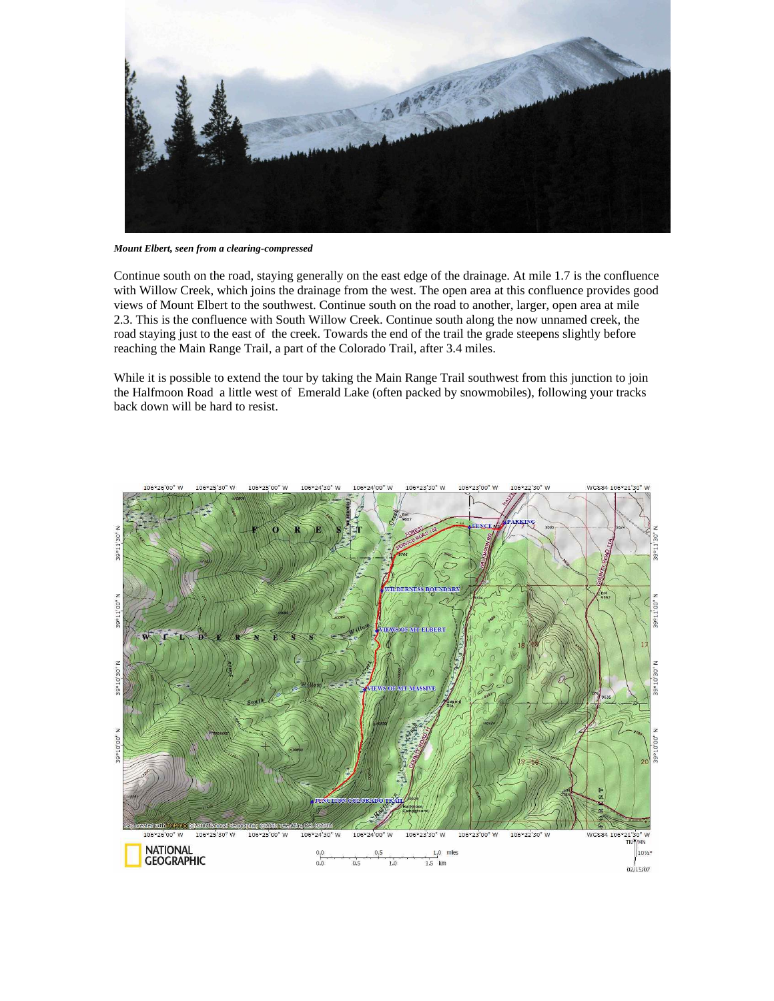

*Mount Elbert, seen from a clearing-compressed*

Continue south on the road, staying generally on the east edge of the drainage. At mile 1.7 is the confluence with Willow Creek, which joins the drainage from the west. The open area at this confluence provides good views of Mount Elbert to the southwest. Continue south on the road to another, larger, open area at mile 2.3. This is the confluence with South Willow Creek. Continue south along the now unnamed creek, the road staying just to the east of the creek. Towards the end of the trail the grade steepens slightly before reaching the Main Range Trail, a part of the Colorado Trail, after 3.4 miles.

While it is possible to extend the tour by taking the Main Range Trail southwest from this junction to join the Halfmoon Road a little west of Emerald Lake (often packed by snowmobiles), following your tracks back down will be hard to resist.